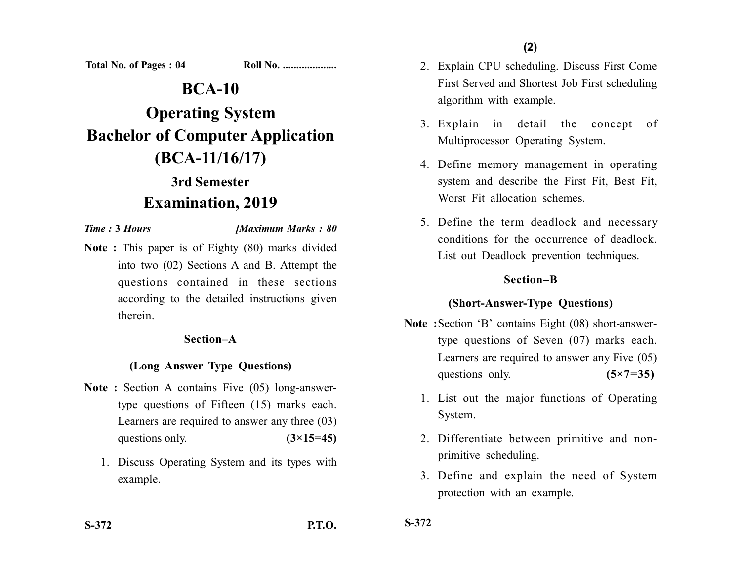**Total No. of Pages : 04 Roll No. ...................** 

# **BCA-10**

# **Operating System Bachelor of Computer Application (BCA-11/16/17)**

## **3rd Semester Examination, 2019**

#### *Time :* **3** *Hours [Maximum Marks : 80*

**Note :** This paper is of Eighty (80) marks divided into two (02) Sections A and B. Attempt the questions contained in these sections according to the detailed instructions given therein.

#### **Section–A**

#### **(Long Answer Type Questions)**

- Note : Section A contains Five (05) long-answertype questions of Fifteen (15) marks each. Learners are required to answer any three (03) questions only.  $(3\times15=45)$ 
	- 1. Discuss Operating System and its types with example.
- 2. Explain CPU scheduling. Discuss First Come First Served and Shortest Job First scheduling algorithm with example.
- 3. Explain in detail the concept of Multiprocessor Operating System.
- 4. Define memory management in operating system and describe the First Fit, Best Fit, Worst Fit allocation schemes.
- 5. Define the term deadlock and necessary conditions for the occurrence of deadlock. List out Deadlock prevention techniques.

#### **Section–B**

#### **(Short-Answer-Type Questions)**

- **Note :**Section 'B' contains Eight (08) short-answertype questions of Seven (07) marks each. Learners are required to answer any Five (05) questions only. **(5×7=35)** 
	- 1. List out the major functions of Operating System.
	- 2. Differentiate between primitive and nonprimitive scheduling.
	- 3. Define and explain the need of System protection with an example.

**S-372**